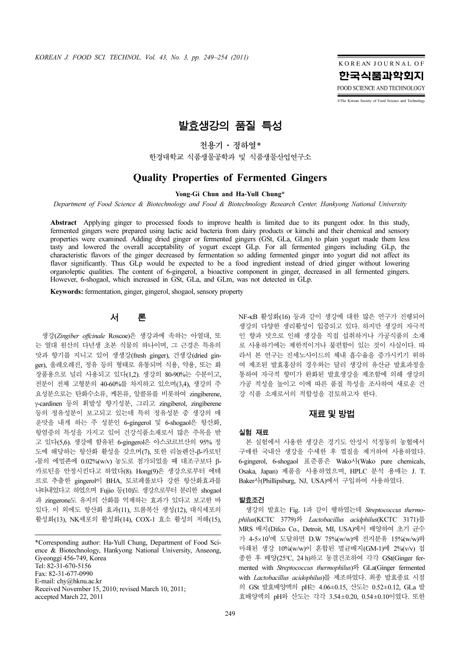KOREAN JOURNAL OF 한국식품과학회지 FOOD SCIENCE AND TECHNOLOGY

©The Korean Society of Food Science and Technology

# 발효생강의 품질 특성

천용기·정하열*\**

한경대학교 식품생물공학과 및 식품생물산업연구소

## Quality Properties of Fermented Gingers

Yong-Gi Chun and Ha-Yull Chung\*

Department of Food Science & Biotechnology and Food & Biotechnology Research Center, Hankyong National University

Abstract Applying ginger to processed foods to improve health is limited due to its pungent odor. In this study, fermented gingers were prepared using lactic acid bacteria from dairy products or kimchi and their chemical and sensory properties were examined. Adding dried ginger or fermented gingers (GSt, GLa, GLm) to plain yogurt made them less tasty and lowered the overall acceptability of yogurt except GLp. For all fermented gingers including GLp, the characteristic flavors of the ginger decreased by fermentation so adding fermented ginger into yogurt did not affect its flavor significantly. Thus GLp would be expected to be a food ingredient instead of dried ginger without lowering organoleptic qualities. The content of 6-gingerol, a bioactive component in ginger, decreased in all fermented gingers. However, 6-shogaol, which increased in GSt, GLa, and GLm, was not detected in GLp.

Keywords: fermentation, ginger, gingerol, shogaol, sensory property

## 서 론

생강(Zingiber offcinale Roscoe)은 생강과에 속하는 아열대, 또 는 열대 원산의 다년생 초본 식물의 하나이며, 그 근경은 특유의 맛과 향기를 지니고 있어 생생강(fresh ginger), 건생강(dried ginger), 올레오레진, 정유 등의 형태로 유통되며 식용, 약용, 또는 화 장품용으로 널리 사용되고 있다(1,2). 생강의 80-90%는 수분이고, 전분이 전체 고형분의 40-60%를 차지하고 있으며(3,4), 생강의 주 요성분으로는 탄화수소류, 케톤류, 알콜류를 비롯하여 zingiberene, γ-cardinen 등의 휘발성 향기성분, 그리고 zingiberol, zingiberene 등의 정유성분이 보고되고 있는데 특히 정유성분 중 생강의 매 운맛을 내게 하는 주 성분인 6-gingerol 및 6-shogaol은 항산화, 항염증의 특성을 가지고 있어 건강식품소재로서 많은 주목을 받 고 있다(5,6). 생강에 함유된 6-gingerol은 아스코르브산의 95% 정 도에 해당하는 항산화 활성을 갖으며(7), 또한 리놀렌산-β-카로틴 -물의 에멀죤에 0.02%(w/v) 농도로 첨가되었을 때 대조구보다 β-카로틴을 안정시킨다고 하였다(8). Hong(9)은 생강으로부터 에테 르로 추출한 gingerol이 BHA, 토코페롤보다 강한 항산화효과를 나타내었다고 하였으며 Fujio 등(10)도 생강으로부터 분리한 shogaol 과 zingerone도 유지의 산화를 억제하는 효과가 있다고 보고한 바 있다. 이 외에도 항산화 효과(11), 트롬복산 생성(12), 대식세포의 활성화(13), NK세포의 활성화(14), COX-1 효소 활성의 저해(15),

\*Corresponding author: Ha-Yull Chung, Department of Food Science & Biotechnology, Hankyong National University, Anseong, Gyeonggi 456-749, Korea Tel: 82-31-670-5156 Fax: 82-31-677-0990 E-mail: chy@hknu.ac.kr Received November 15, 2010; revised March 10, 2011; accepted March 22, 2011

NF-κB 활성화(16) 등과 같이 생강에 대한 많은 연구가 진행되어 생강의 다양한 생리활성이 입증되고 있다. 하지만 생강의 자극적 인 향과 맛으로 인해 생강을 직접 섭취하거나 가공식품의 소재 로 사용하기에는 제한적이거나 불편함이 있는 것이 사실이다. 따 라서 본 연구는 진세노사이드의 체내 흡수율을 증가시키기 위하 여 제조된 발효홍삼의 경우와는 달리 생강의 유산균 발효과정을 통하여 자극적 향미가 완화된 발효생강을 제조함에 의해 생강의 가공 적성을 높이고 이에 따른 품질 특성을 조사하여 새로운 건 강 식품 소재로서의 적합성을 검토하고자 한다.

### 재료및방법

#### 실험 재료

본 실험에서 사용한 생강은 경기도 안성시 석정동의 농협에서 구매한 국내산 생강을 수세한 후 껍질을 제거하여 사용하였다. 6-gingerol, 6-shogaol 표준품은 Wako사(Wako pure chemicals, Osaka, Japan) 제품을 사용하였으며, HPLC 분석 용매는 J. T. Baker사(Phillipsburg, NJ, USA)에서 구입하여 사용하였다.

#### 발효조건

생강의 발효는 Fig. 1과 같이 행하였는데 Streptococcus thermophilus(KCTC 3779)와 Lactobacillus acidphilus(KCTC 3171)를 MRS 배지(Difco Co., Detroit, MI, USA)에서 배양하여 초기 균수 가 4-5×10<sup>5</sup> 에 도달하면 D.W 75%(w/w)에 전지분유 15%(w/w)와 마쇄된 생강 10%(w/w)이 혼합된 멸균배지(GM-1)에 2%(v/v) 접 종한 후 배양(25°C, 24 h)하고 동결건조하여 각각 GSt(Ginger fermented with Streptococcus thermophilus)와 GLa(Ginger fermented with Lactobacillus acidophilus)를 제조하였다. 최종 발효종료 시점 의 GSt 발효배양액의 pH는 4.06±0.15, 산도는 0.52±0.12, GLa 발 효배양액의 pH와 산도는 각각 3.54±0.20, 0.54±0.10이였다. 또한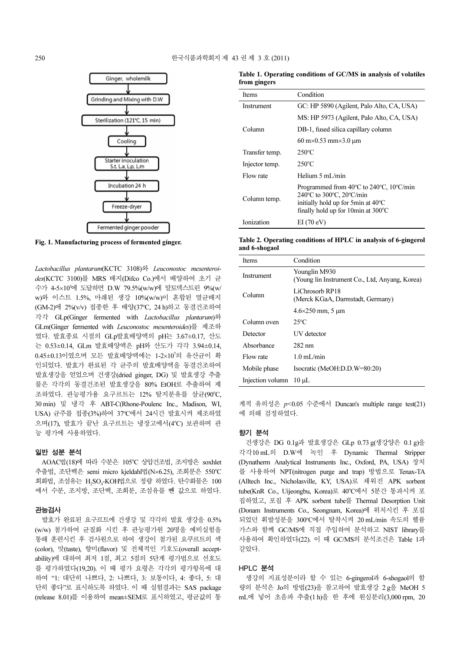

Fig. 1. Manufacturing process of fermented ginger.

Lactobacillus plantarum(KCTC 3108)와 Leuconostoc mesenteroides(KCTC 3100)를 MRS 배지(Difco Co.)에서 배양하여 초기 균 수가 4-5×10<sup>5</sup> 에 도달하면 D.W 79.5%(w/w)에 말토덱스트린 9%(w/ w)와 이스트 1.5%, 마쇄된 생강 10%(w/w)이 혼합된 멸균배지 (GM-2)에 2%(v/v) 접종한 후 배양(37°C, 24 h)하고 동결건조하여 각각 GLp(Ginger fermented with Lactobacillus plantarum)와 GLm(Ginger fermented with Leuconostoc mesenteroides)를 제조하 였다. 발효종료 시점의 GLp발효배양액의 pH는 3.67±0.17, 산도 는 0.53±0.14, GLm 발효배양액은 pH와 산도가 각각 3.94±0.14, 0.45±0.13이였으며 모든 발효배양액에는 1-2×10<sup>7</sup> 의 유산균이 확 인되었다. 발효가 완료된 각 균주의 발효배양액을 동결건조하여 발효생강을 얻었으며 건생강(dried ginger, DG) 및 발효생강 추출 물은 각각의 동결건조된 발효생강을 80% EtOH로 추출하여 제 조하였다. 관능평가용 요구르트는 12% 탈지분유를 살균(90℃, 30 min) 및 냉각 후 ABT-C(Rhone-Poulenc Inc., Madison, WI, USA) 균주를 접종(3%)하여 37°C에서 24시간 발효시켜 제조하였 으며(17), 발효가 끝난 요구르트는 냉장고에서(4°C) 보관하며 관 능 평가에 사용하였다.

#### 일반 성분 분석

AOAC법(18)에 따라 수분은 105℃ 상압건조법, 조지방은 soxhlet 추출법, 조단백은 semi micro kjeldahl법(N×6.25), 조회분은 550°C 회화법, 조섬유는 H,SO<sub>4</sub>-KOH법으로 정량 하였다. 탄수화물은 100 에서 수분, 조지방, 조단백, 조회분, 조섬유를 뺀 값으로 하였다.

#### 관능검사

발효가 완료된 요구르트에 건생강 및 각각의 발효 생강을 0.5% (w/w) 첨가하여 균질화 시킨 후 관능평가원 20명을 예비실험을 통해 훈련시킨 후 검사원으로 하여 생강이 첨가된 요쿠르트의 색 (color), 맛(taste), 향미(flavor) 및 전체적인 기호도(overall acceptability)에 대하여 최저 1점, 최고 5점의 5단계 평가법으로 선호도 를 평가하였다(19,20). 이 때 평가 요령은 각각의 평가항목에 대 하여 "1: 대단히 나쁘다, 2: 나쁘다, 3: 보통이다, 4: 좋다, 5: 대 단히 좋다"로 표시하도록 하였다. 이 때 실험결과는 SAS package (release 8.01)를 이용하여 mean±SEM로 표시하였고, 평균값의 통

| Table 1. Operating conditions of GC/MS in analysis of volatiles |  |  |  |
|-----------------------------------------------------------------|--|--|--|
| from gingers                                                    |  |  |  |

| <b>Items</b>   | Condition                                                                                                                                                                                                                         |
|----------------|-----------------------------------------------------------------------------------------------------------------------------------------------------------------------------------------------------------------------------------|
| Instrument     | GC: HP 5890 (Agilent, Palo Alto, CA, USA)                                                                                                                                                                                         |
|                | MS: HP 5973 (Agilent, Palo Alto, CA, USA)                                                                                                                                                                                         |
| Column         | DB-1, fused silica capillary column                                                                                                                                                                                               |
|                | $60 \text{ m} \times 0.53 \text{ mm} \times 3.0 \text{ µm}$                                                                                                                                                                       |
| Transfer temp. | $250^{\circ}$ C                                                                                                                                                                                                                   |
| Injector temp. | $250^{\circ}$ C                                                                                                                                                                                                                   |
| Flow rate      | Helium $5 \text{ mL/min}$                                                                                                                                                                                                         |
| Column temp.   | Programmed from $40^{\circ}$ C to $240^{\circ}$ C, $10^{\circ}$ C/min<br>$240^{\circ}$ C to $300^{\circ}$ C, $20^{\circ}$ C/min<br>initially hold up for 5 min at $40^{\circ}$ C<br>finally hold up for 10 min at $300^{\circ}$ C |
| Ionization     | EI(70eV)                                                                                                                                                                                                                          |

Table 2. Operating conditions of HPLC in analysis of 6-gingerol and 6-shogaol

| <b>Items</b>     | Condition                                                       |
|------------------|-----------------------------------------------------------------|
| Instrument       | Younglin M930<br>(Young lin Instrument Co., Ltd, Anyang, Korea) |
| Column           | LiChrosorb RP18<br>(Merck KGaA, Darmstadt, Germany)             |
|                  | $4.6 \times 250$ mm, 5 µm                                       |
| Column oven      | $25^{\circ}$ C                                                  |
| Detector         | <b>UV</b> detector                                              |
| Absorbance       | 282 nm                                                          |
| Flow rate        | $1.0 \text{ mL/min}$                                            |
| Mobile phase     | Isocratic (MeOH:D.D.W=80:20)                                    |
| Injection volumn | $10 \mu L$                                                      |

계적 유의성은  $p$ <0.05 수준에서 Duncan's multiple range test(21) 에 의해 검정하였다.

#### 향기 분석

건생강은 DG 0.1g과 발효생강은 GLp 0.73 g(생강양은 0.1 g)을 각각10 mL의 D.W에 녹인 후 Dynamic Thermal Stripper (Dynatherm Analytical Instruments Inc., Oxford, PA, USA) 장치 를 사용하여 NPT(nitrogen purge and trap) 방법으로 Tenax-TA (Alltech Inc., Nicholasville, KY, USA)로 채워진 APK sorbent tube(KnR Co., Uijeongbu, Korea)로 40°C에서 5분간 통과시켜 포 집하였고, 포집 후 APK sorbent tube를 Thermal Desorption Unit (Donam Instruments Co., Seongnam, Korea)에 위치시킨 후 포집 되었던 휘발성분을 300℃에서 탈착시켜 20 mL/min 속도의 헬륨 가스와 함께 GC/MS에 직접 주입하여 분석하고 NIST library를 사용하여 확인하였다(22). 이 때 GC/MS의 분석조건은 Table 1과 같았다.

#### HPLC 분석

생강의 지표성분이라 할 수 있는 6-gingerol과 6-shogaol의 함 량의 분석은 Jo의 방법(23)을 참고하여 발효생강 2g을 MeOH 5 mL에 넣어 초음파 추출(1 h)을 한 후에 원심분리(3,000 rpm, 20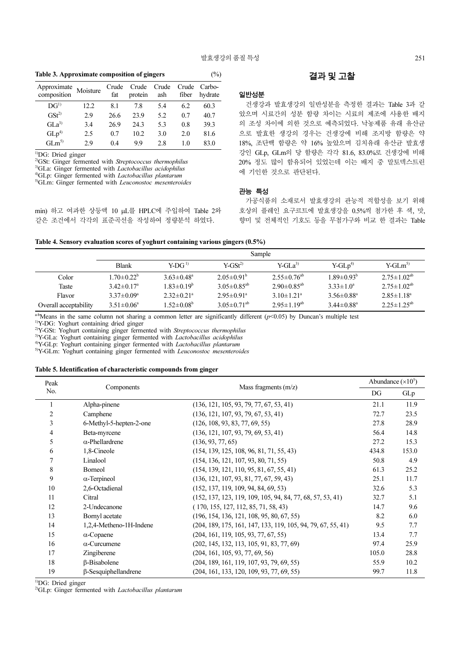#### Table 3. Approximate composition of gingers  $(\%)$

| Approximate<br>composition | Moisture | Crude<br>fat | Crude<br>protein  | Crude<br>ash | Crude<br>fiber | Carbo-<br>hydrate |
|----------------------------|----------|--------------|-------------------|--------------|----------------|-------------------|
| $DG^{1}$                   | 12.2     | 8.1          | 7.8               | 5.4          | 6.2            | 60.3              |
| GSt <sup>2</sup>           | 2.9      | 26.6         | 23.9              | 5.2          | 0.7            | 40.7              |
| GLa <sup>3</sup>           | 3.4      | 26.9         | 24.3              | 5.3          | 0.8            | 39.3              |
| GLp <sup>4</sup>           | 2.5      | 0.7          | 10.2 <sub>1</sub> | 3.0          | 2.0            | 81.6              |
| $GI \, m^{5}$              | 29       | 0.4          | 99                | 28           | 1.0            | 83.0              |

<sup>1)</sup>DG: Dried ginger

<sup>2)</sup>GSt: Ginger fermented with Streptococcus thermophilus

<sup>3)</sup>GLa: Ginger fermented with *Lactobacillus acidophilus* 

<sup>4)</sup>GLp: Ginger fermented with *Lactobacillus plantarum* 

5)GLm: Ginger fermented with Leuconostoc mesenteroides

min) 하고 여과한 상등액 10 µL를 HPLC에 주입하여 Table 2와 같은 조건에서 각각의 표준곡선을 작성하여 정량분석 하였다.

## 결과및고찰

#### 일반성분

건생강과 발효생강의 일반성분을 측정한 결과는 Table 3과 같 았으며 시료간의 성분 함량 차이는 시료의 제조에 사용한 배지 의 조성 차이에 의한 것으로 예측되었다. 낙농제품 유래 유산균 으로 발효한 생강의 경우는 건생강에 비해 조지방 함량은 약 18%, 조단백 함량은 약 16% 높았으며 김치유래 유산균 발효생 강인 GLp, GLm의 당 함량은 각각 81.6, 83.0%로 건생강에 비해 20% 정도 많이 함유되어 있었는데 이는 배지 중 말토덱스트린 에 기인한 것으로 판단된다.

#### 관능 특성

가공식품의 소재로서 발효생강의 관능적 적합성을 보기 위해 호상의 플레인 요구르트에 발효생강을 0.5%씩 첨가한 후 색, 맛, 향미 및 전체적인 기호도 등을 무첨가구와 비교 한 결과는 Table

|  | Table 4. Sensory evaluation scores of yoghurt containing various gingers (0.5%) |  |  |  |  |
|--|---------------------------------------------------------------------------------|--|--|--|--|
|  |                                                                                 |  |  |  |  |

|                       | Sample                       |                              |                               |                               |                              |                      |
|-----------------------|------------------------------|------------------------------|-------------------------------|-------------------------------|------------------------------|----------------------|
|                       | <b>Blank</b>                 | $Y-DG1$                      | $Y-GSt2$                      | $Y-GLa^{3}$                   | $Y-GLp4$                     | $Y-GLm^{5}$          |
| Color                 | $1.70 \pm 0.22^b$            | $3.63 \pm 0.48^a$            | $2.05 \pm 0.91^{\circ}$       | $2.55 \pm 0.76$ <sup>ab</sup> | $1.89 \pm 0.93^b$            | $2.75 \pm 1.02^{ab}$ |
| Taste                 | $3.42 \pm 0.17$ <sup>a</sup> | $1.83 \pm 0.19^b$            | $3.05 \pm 0.85$ <sup>ab</sup> | $2.90 \pm 0.85$ <sup>ab</sup> | $3.33 \pm 1.0^a$             | $2.75 \pm 1.02^{ab}$ |
| <b>Flavor</b>         | $3.37 \pm 0.09^{\circ}$      | $2.32 \pm 0.21$ <sup>a</sup> | $2.95 \pm 0.91$ <sup>a</sup>  | $3.10 \pm 1.21$ <sup>a</sup>  | $3.56 \pm 0.88^a$            | $2.85 \pm 1.18^a$    |
| Overall acceptability | $3.51 \pm 0.06^a$            | $1.52 \pm 0.08^b$            | $3.05 \pm 0.71$ <sup>ab</sup> | $2.95 \pm 1.19^{ab}$          | $3.44 \pm 0.88$ <sup>a</sup> | $2.25 \pm 1.25^{ab}$ |

 $a-b$ Means in the same column not sharing a common letter are significantly different ( $p$ <0.05) by Duncan's multiple test

<sup>1)</sup>Y-DG: Yoghurt containing dried ginger

<sup>2)</sup>Y-GSt: Yoghurt containing ginger fermented with Streptococcus thermophilus

<sup>3)</sup>Y-GLa: Yoghurt containing ginger fermented with *Lactobacillus acidophilus* 

<sup>4)</sup>Y-GLp: Yoghurt containing ginger fermented with *Lactobacillus plantarum* 

<sup>5)</sup>Y-GLm: Yoghurt containing ginger fermented with *Leuconostoc* mesenteroides

#### Table 5. Identification of characteristic compounds from ginger

| Peak | Components                  | Mass fragments $(m/z)$                                         | Abundance $(\times 10^5)$ |       |  |
|------|-----------------------------|----------------------------------------------------------------|---------------------------|-------|--|
| No.  |                             |                                                                |                           | GLp   |  |
|      | Alpha-pinene                | $(136, 121, 105, 93, 79, 77, 67, 53, 41)$                      | 21.1                      | 11.9  |  |
| 2    | Camphene                    | (136, 121, 107, 93, 79, 67, 53, 41)                            | 72.7                      | 23.5  |  |
| 3    | 6-Methyl-5-hepten-2-one     | (126, 108, 93, 83, 77, 69, 55)                                 | 27.8                      | 28.9  |  |
| 4    | Beta-myrcene                | (136, 121, 107, 93, 79, 69, 53, 41)                            | 56.4                      | 14.8  |  |
| 5    | $\alpha$ -Phellardrene      | (136, 93, 77, 65)                                              | 27.2                      | 15.3  |  |
| 6    | 1,8-Cineole                 | $(154, 139, 125, 108, 96, 81, 71, 55, 43)$                     | 434.8                     | 153.0 |  |
| 7    | Linalool                    | (154, 136, 121, 107, 93, 80, 71, 55)                           | 50.8                      | 4.9   |  |
| 8    | Borneol                     | $(154, 139, 121, 110, 95, 81, 67, 55, 41)$                     | 61.3                      | 25.2  |  |
| 9    | $\alpha$ -Terpineol         | $(136, 121, 107, 93, 81, 77, 67, 59, 43)$                      | 25.1                      | 11.7  |  |
| 10   | 2,6-Octadienal              | (152, 137, 119, 109, 94, 84, 69, 53)                           | 32.6                      | 5.3   |  |
| 11   | Citral                      | $(152, 137, 123, 119, 109, 105, 94, 84, 77, 68, 57, 53, 41)$   | 32.7                      | 5.1   |  |
| 12   | 2-Undecanone                | (170, 155, 127, 112, 85, 71, 58, 43)                           | 14.7                      | 9.6   |  |
| 13   | Bornyl acetate              | $(196, 154, 136, 121, 108, 95, 80, 67, 55)$                    | 8.2                       | 6.0   |  |
| 14   | 1,2,4-Metheno-1H-Indene     | $(204, 189, 175, 161, 147, 133, 119, 105, 94, 79, 67, 55, 41)$ | 9.5                       | 7.7   |  |
| 15   | $\alpha$ -Copaene           | (204, 161, 119, 105, 93, 77, 67, 55)                           | 13.4                      | 7.7   |  |
| 16   | $\alpha$ -Curcumene         | $(202, 145, 132, 113, 105, 91, 83, 77, 69)$                    | 97.4                      | 25.9  |  |
| 17   | Zingiberene                 | (204, 161, 105, 93, 77, 69, 56)                                | 105.0                     | 28.8  |  |
| 18   | $\beta$ -Bisabolene         | (204, 189, 161, 119, 107, 93, 79, 69, 55)                      | 55.9                      | 10.2  |  |
| 19   | $\beta$ -Sesquiphellandrene | $(204, 161, 133, 120, 109, 93, 77, 69, 55)$                    | 99.7                      | 11.8  |  |

<sup>1)</sup>DG: Dried ginger

<sup>2)</sup>GLp: Ginger fermented with Lactobacillus plantarum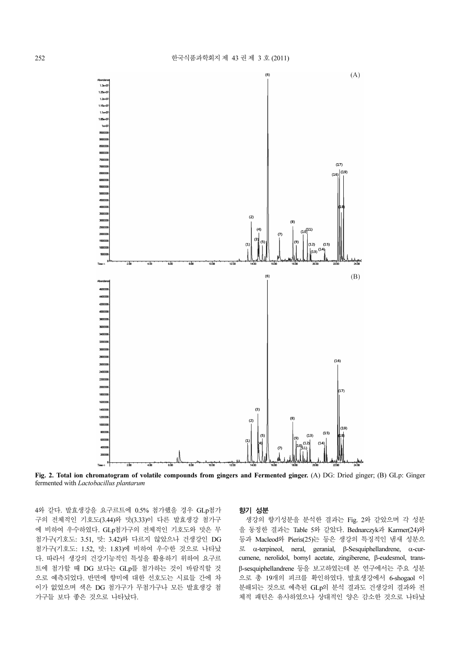

Fig. 2. Total ion chromatogram of volatile compounds from gingers and Fermented ginger. (A) DG: Dried ginger; (B) GLp: Ginger fermented with Lactobacillus plantarum

4와 같다. 발효생강을 요구르트에 0.5% 첨가했을 경우 GLp첨가 구의 전체적인 기호도(3.44)와 맛(3.33)이 다른 발효생강 첨가구 에 비하여 우수하였다. GLp첨가구의 전체적인 기호도와 맛은 무 첨가구(기호도: 3.51, 맛: 3.42)와 다르지 않았으나 건생강인 DG 첨가구(기호도: 1.52, 맛: 1.83)에 비하여 우수한 것으로 나타났 다. 따라서 생강의 건강기능적인 특성을 활용하기 위하여 요구르 트에 첨가할 때 DG 보다는 GLp를 첨가하는 것이 바람직할 것 으로 예측되었다. 반면에 향미에 대한 선호도는 시료들 간에 차 이가 없었으며 색은 DG 첨가구가 무첨가구나 모든 발효생강 첨 가구들 보다 좋은 것으로 나타났다.

#### 향기 성분

생강의 향기성분을 분석한 결과는 Fig. 2와 같았으며 각 성분 을 동정한 결과는 Table 5와 같았다. Bednarczyk과 Karmer(24)와 등과 Macleod와 Pieris(25)는 등은 생강의 특징적인 냄새 성분으 로 α-terpineol, neral, geranial, β-Sesquiphellandrene, α-curcumene, nerolidol, bornyl acetate, zingiberene, β-eudesmol, transβ-sesquiphellandrene 등을 보고하였는데 본 연구에서는 주요 성분 으로 총 19개의 피크를 확인하였다. 발효생강에서 6-shogaol 이 분해되는 것으로 예측된 GLp의 분석 결과도 건생강의 결과와 전 체적 패턴은 유사하였으나 상대적인 양은 감소한 것으로 나타났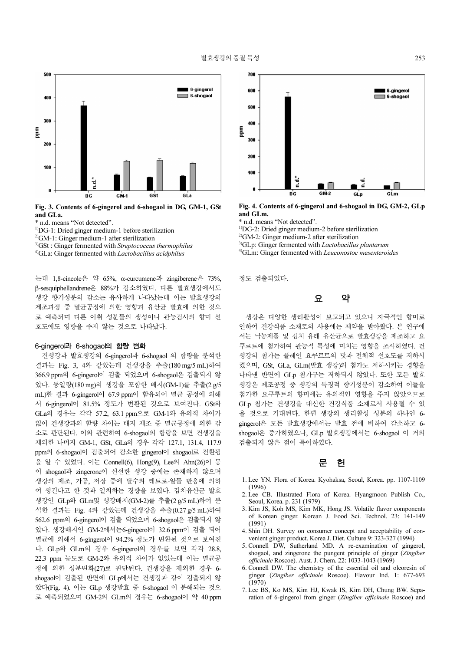

Fig. 3. Contents of 6-gingerol and 6-shogaol in DG, GM-1, GSt and GLa.

- \* n.d. means "Not detected".
- 1)DG-1: Dried ginger medium-1 before sterilization
- $2$ <sup>2)</sup>GM-1: Ginger medium-1 after sterilization
- <sup>3)</sup>GSt : Ginger fermented with Streptococcus thermophilus
- $4$ <sup>4)</sup>GLa: Ginger fermented with *Lactobacillus acidphilus*

는데 1,8-cineole은 약 65%, α-curcumene과 zingiberene은 73%, β-sesquiphellandrene은 88%가 감소하였다. 다른 발효생강에서도 생강 향기성분의 감소는 유사하게 나타났는데 이는 발효생강의 제조과정 중 멸균공정에 의한 영향과 유산균 발효에 의한 것으 로 예측되며 다른 이취 성분들의 생성이나 관능검사의 향미 선 호도에도 영향을 주지 않는 것으로 나타났다.

#### 6-gingerol과 6-shogaol<sup>의</sup> 함량 변화

건생강과 발효생강의 6-gingerol과 6-shogaol 의 함량을 분석한 결과는 Fig. 3, 4와 같았는데 건생강을 추출(180 mg/5 mL)하여 366.9 ppm의 6-gingerol이 검출 되었으며 6-shogaol은 검출되지 않 았다. 동일량(180 mg)의 생강을 포함한 배지(GM-1)를 추출(2 g/5 mL)한 결과 6-gingerol이 67.9 ppm이 함유되어 멸균 공정에 의해 서 6-gingerol이 81.5% 정도가 변환된 것으로 보여진다. GSt와 GLa의 경우는 각각 57.2, 63.1 ppm으로 GM-1와 유의적 차이가 없어 건생강과의 함량 차이는 배지 제조 중 멸균공정에 의한 감 소로 판단된다. 이와 관련하여 6-shogaol의 함량을 보면 건생강을 제외한 나머지 GM-1, GSt, GLa의 경우 각각 127.1, 131.4, 117.9 ppm의 6-shogaol이 검출되어 감소한 gingerol이 shogaol로 전환됨 을 알 수 있었다. 이는 Connell(6), Hong(9), Lee와 Ahn(26)이 등 이 shogaol과 zingerone이 신선한 생강 중에는 존재하지 않으며 생강의 제조, 가공, 저장 중에 탈수와 레트로-알돌 반응에 의하 여 생긴다고 한 것과 일치하는 경향을 보였다. 김치유산균 발효 생강인 GLp와 GLm및 생강배지(GM-2)를 추출(2 g/5 mL)하여 분 석한 결과는 Fig. 4와 같았는데 건생강을 추출(0.27 g/5 mL)하여 562.6 ppm의 6-gingerol이 검출 되었으며 6-shogaol은 검출되지 않 았다. 생강배지인 GM-2에서는6-gingerol이 32.6 ppm이 검출 되어 멸균에 의해서 6-gingerol이 94.2% 정도가 변환된 것으로 보여진 다. GLp와 GLm의 경우 6-gingerol의 경우를 보면 각각 28.8, 22.3 ppm 농도로 GM-2와 유의적 차이가 없었는데 이는 멸균공 정에 의한 성분변화(27)로 판단된다. 건생강을 제외한 경우 6 shogaol이 검출된 반면에 GLp에서는 건생강과 같이 검출되지 않 았다(Fig. 4). 이는 GLp 생강발효 중 6-shogaol 이 분해되는 것으 로 예측되었으며 GM-2와 GLm의 경우는 6-shogaol이 약 40 ppm



Fig. 4. Contents of 6-gingerol and 6-shogaol in DG, GM-2, GLp and GLm.

\* n.d. means "Not detected".

1)DG-2: Dried ginger medium-2 before sterilization

2)GM-2: Ginger medium-2 after sterilization

- $3$ <sup>3)</sup>GLp: Ginger fermented with *Lactobacillus plantarum*
- <sup>4)</sup>GLm: Ginger fermented with Leuconostoc mesenteroides

정도 검출되었다.

## 요 약

생강은 다양한 생리활성이 보고되고 있으나 자극적인 향미로 인하여 건강식품 소재로의 사용에는 제약을 받아왔다. 본 연구에 서는 낙농제품 및 김치 유래 유산균으로 발효생강을 제조하고 요 쿠르트에 첨가하여 관능적 특성에 미치는 영향을 조사하였다. 건 생강의 첨가는 플레인 요쿠르트의 맛과 전체적 선호도를 저하시 켰으며, GSt, GLa, GLm(발효 생강)의 첨가도 저하시키는 경향을 나타낸 반면에 GLp 첨가구는 저하되지 않았다. 또한 모든 발효 생강은 제조공정 중 생강의 특징적 향기성분이 감소하여 이들을 첨가한 요쿠루트의 향미에는 유의적인 영향을 주지 않았으므로 GLp 첨가는 건생강을 대신한 건강식품 소재로서 사용될 수 있 을 것으로 기대된다. 한편 생강의 생리활성 성분의 하나인 6 gingerol은 모든 발효생강에서는 발효 전에 비하여 감소하고 6 shogaol은 증가하였으나, GLp 발효생강에서는 6-shogaol 이 거의 검출되지 않은 점이 특이하였다.

## 문 허

- 1. Lee YN. Flora of Korea. Kyohaksa, Seoul, Korea. pp. 1107-1109 (1996)
- 2. Lee CB. Illustrated Flora of Korea. Hyangmoon Publish Co., Seoul, Korea. p. 231 (1979)
- 3. Kim JS, Koh MS, Kim MK, Hong JS. Volatile flavor components of Korean ginger. Korean J. Food Sci. Technol. 23: 141-149 (1991)
- 4. Shin DH. Survey on consumer concept and acceptability of convenient ginger product. Korea J. Diet. Culture 9: 323-327 (1994)
- 5. Connell DW, Sutherland MD. A re-examination of gingerol, shogaol, and zingerone the pungent principle of ginger (Zingiber officinale Roscoe). Aust. J. Chem. 22: 1033-1043 (1969)
- 6. Connell DW. The chemistry of the essential oil and oleoresin of ginger (Zingiber officinale Roscoe). Flavour Ind. 1: 677-693 (1970)
- 7. Lee BS, Ko MS, Kim HJ, Kwak IS, Kim DH, Chung BW. Separation of 6-gingerol from ginger (Zingiber officinale Roscoe) and